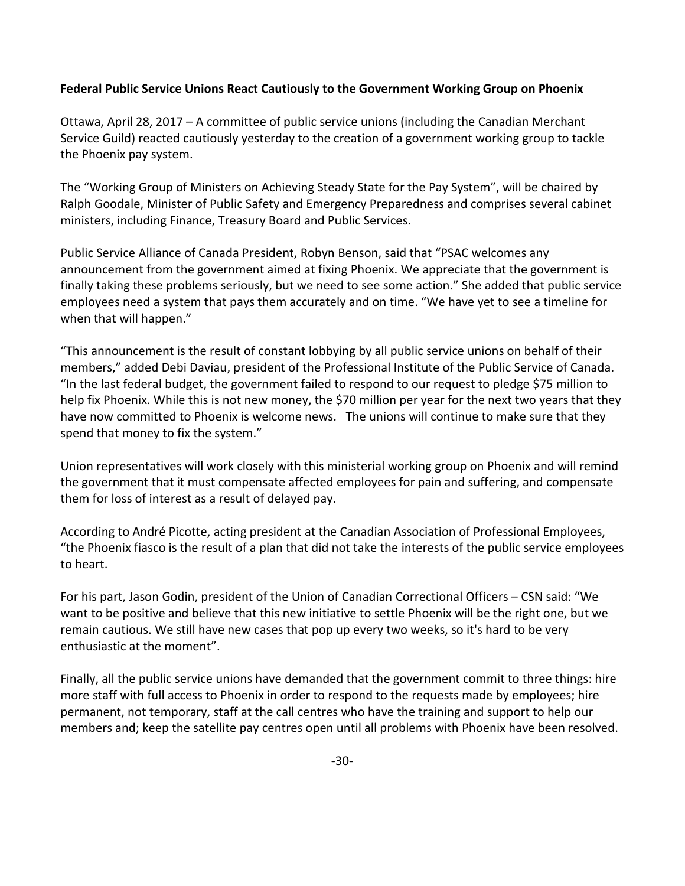## **Federal Public Service Unions React Cautiously to the Government Working Group on Phoenix**

Ottawa, April 28, 2017 – A committee of public service unions (including the Canadian Merchant Service Guild) reacted cautiously yesterday to the creation of a government working group to tackle the Phoenix pay system.

The "Working Group of Ministers on Achieving Steady State for the Pay System", will be chaired by Ralph Goodale, Minister of Public Safety and Emergency Preparedness and comprises several cabinet ministers, including Finance, Treasury Board and Public Services.

Public Service Alliance of Canada President, Robyn Benson, said that "PSAC welcomes any announcement from the government aimed at fixing Phoenix. We appreciate that the government is finally taking these problems seriously, but we need to see some action." She added that public service employees need a system that pays them accurately and on time. "We have yet to see a timeline for when that will happen."

"This announcement is the result of constant lobbying by all public service unions on behalf of their members," added Debi Daviau, president of the Professional Institute of the Public Service of Canada. "In the last federal budget, the government failed to respond to our request to pledge \$75 million to help fix Phoenix. While this is not new money, the \$70 million per year for the next two years that they have now committed to Phoenix is welcome news. The unions will continue to make sure that they spend that money to fix the system."

Union representatives will work closely with this ministerial working group on Phoenix and will remind the government that it must compensate affected employees for pain and suffering, and compensate them for loss of interest as a result of delayed pay.

According to André Picotte, acting president at the Canadian Association of Professional Employees, "the Phoenix fiasco is the result of a plan that did not take the interests of the public service employees to heart.

For his part, Jason Godin, president of the Union of Canadian Correctional Officers – CSN said: "We want to be positive and believe that this new initiative to settle Phoenix will be the right one, but we remain cautious. We still have new cases that pop up every two weeks, so it's hard to be very enthusiastic at the moment".

Finally, all the public service unions have demanded that the government commit to three things: hire more staff with full access to Phoenix in order to respond to the requests made by employees; hire permanent, not temporary, staff at the call centres who have the training and support to help our members and; keep the satellite pay centres open until all problems with Phoenix have been resolved.